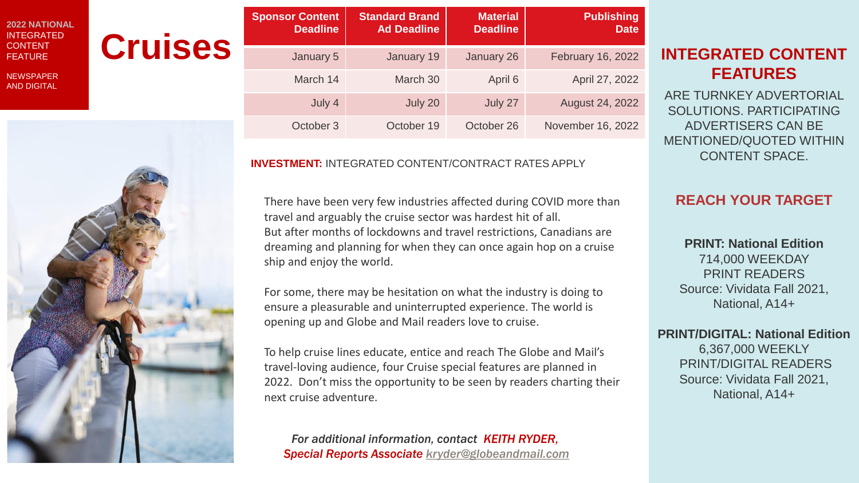#### **2022 NATIONAL** INTEGRATED **CONTENT** FEATURE

**NEWSPAPER** AND DIGITAL



|                | <b>Sponsor Content</b><br><b>Deadline</b> | <b>Standard Brand</b><br><b>Ad Deadline</b> | <b>Material</b><br><b>Deadline</b> | <b>Publishing</b><br><b>Date</b> |                                                                 |
|----------------|-------------------------------------------|---------------------------------------------|------------------------------------|----------------------------------|-----------------------------------------------------------------|
| <b>Cruises</b> | January 5                                 | January 19                                  | January 26                         | February 16, 2022                | <b>INTEGRATED CONTENT</b>                                       |
|                | March 14                                  | March 30                                    | April 6                            | April 27, 2022                   | <b>FEATURES</b>                                                 |
|                | July 4                                    | July 20                                     | July 27                            | August 24, 2022                  | ARE TURNKEY ADVERTORIAL<br>SOLUTIONS. PARTICIPATING             |
|                | October 3                                 | October 19                                  | October 26                         | November 16, 2022                | ADVERTISERS CAN BE<br><u>LIELITIALIER /ALIATER 11/11TI IILI</u> |

#### **INVESTMENT:** INTEGRATED CONTENT/CONTRACT RATES APPLY

There have been very few industries affected during COVID more than travel and arguably the cruise sector was hardest hit of all. But after months of lockdowns and travel restrictions, Canadians are dreaming and planning for when they can once again hop on a cruise ship and enjoy the world.

For some, there may be hesitation on what the industry is doing to ensure a pleasurable and uninterrupted experience. The world is opening up and Globe and Mail readers love to cruise.

To help cruise lines educate, entice and reach The Globe and Mail's travel-loving audience, four Cruise special features are planned in 2022. Don't miss the opportunity to be seen by readers charting their next cruise adventure.

*For additional information, contact KEITH RYDER, Special Reports Associate [kryder@globeandmail.com](mailto:kryder@globeandmail.com)*

# **FEATURES**

ARE TURNKEY ADVERTORIAL SOLUTIONS. PARTICIPATING ADVERTISERS CAN BE MENTIONED/QUOTED WITHIN CONTENT SPACE.

## **REACH YOUR TARGET**

**PRINT: National Edition** 714,000 WEEKDAY PRINT READERS Source: Vividata Fall 2021, National, A14+

#### **PRINT/DIGITAL: National Edition**

6,367,000 WEEKLY PRINT/DIGITAL READERS Source: Vividata Fall 2021, National, A14+